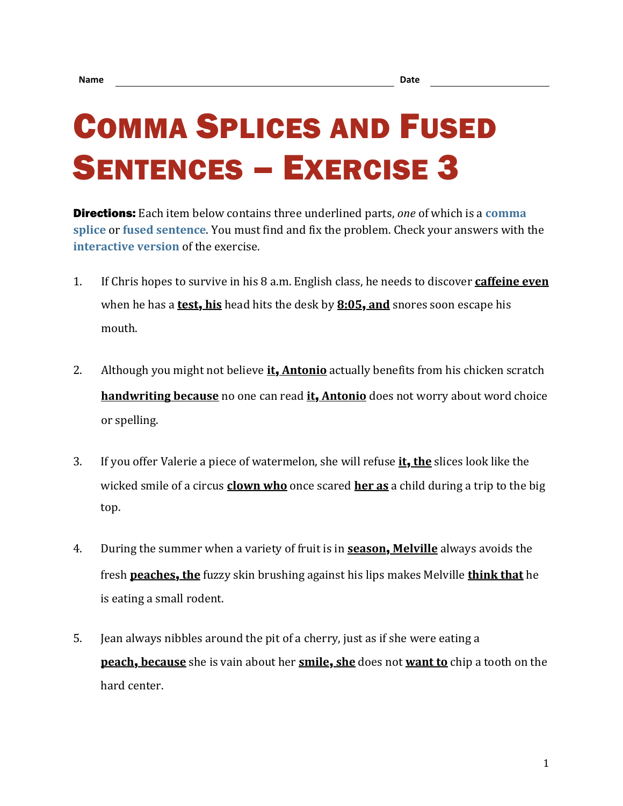## COMMA SPLICES AND FUSED SENTENCES – EXERCISE 3

Directions: Each item below contains three underlined parts, *one* of which is a **[comma](https://chompchomp.com/terms/commasplice.htm)  [splice](https://chompchomp.com/terms/commasplice.htm)** or **[fused sentence](https://chompchomp.com/terms/fusedsentence.htm)**. You must find and fix the problem. Check your answers with the **[interactive version](https://chompchomp.com/csfs03/)** of the exercise.

- 1. If Chris hopes to survive in his 8 a.m. English class, he needs to discover **caffeine even** when he has a **test**, **his** head hits the desk by **8:05**, **and** snores soon escape his mouth.
- 2. Although you might not believe **it**, **Antonio** actually benefits from his chicken scratch **handwriting because** no one can read **it**, **Antonio** does not worry about word choice or spelling.
- 3. If you offer Valerie a piece of watermelon, she will refuse **it**, **the** slices look like the wicked smile of a circus **clown who** once scared **her as** a child during a trip to the big top.
- 4. During the summer when a variety of fruit is in **season**, **Melville** always avoids the fresh **peaches**, **the** fuzzy skin brushing against his lips makes Melville **think that** he is eating a small rodent.
- 5. Jean always nibbles around the pit of a cherry, just as if she were eating a **peach**, **because** she is vain about her **smile**, **she** does not **want to** chip a tooth on the hard center.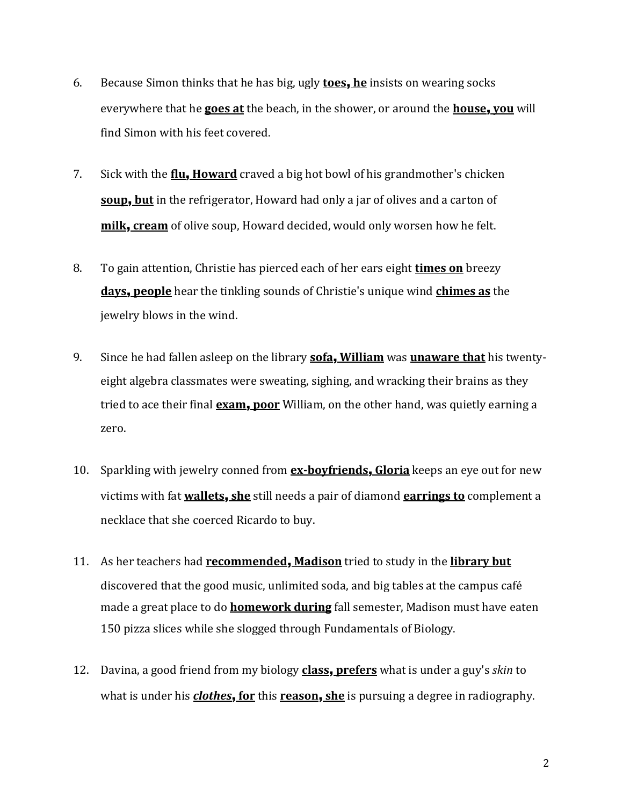- 6. Because Simon thinks that he has big, ugly **toes**, **he** insists on wearing socks everywhere that he **goes at** the beach, in the shower, or around the **house**, **you** will find Simon with his feet covered.
- 7. Sick with the **flu**, **Howard** craved a big hot bowl of his grandmother's chicken **soup**, **but** in the refrigerator, Howard had only a jar of olives and a carton of **milk**, **cream** of olive soup, Howard decided, would only worsen how he felt.
- 8. To gain attention, Christie has pierced each of her ears eight **times on** breezy **days**, **people** hear the tinkling sounds of Christie's unique wind **chimes as** the jewelry blows in the wind.
- 9. Since he had fallen asleep on the library **sofa**, **William** was **unaware that** his twentyeight algebra classmates were sweating, sighing, and wracking their brains as they tried to ace their final **exam**, **poor** William, on the other hand, was quietly earning a zero.
- 10. Sparkling with jewelry conned from **ex-boyfriends**, **Gloria** keeps an eye out for new victims with fat **wallets**, **she** still needs a pair of diamond **earrings to** complement a necklace that she coerced Ricardo to buy.
- 11. As her teachers had **recommended**, **Madison** tried to study in the **library but** discovered that the good music, unlimited soda, and big tables at the campus café made a great place to do **homework during** fall semester, Madison must have eaten 150 pizza slices while she slogged through Fundamentals of Biology.
- 12. Davina, a good friend from my biology **class**, **prefers** what is under a guy's *skin* to what is under his *clothes*, **for** this **reason**, **she** is pursuing a degree in radiography.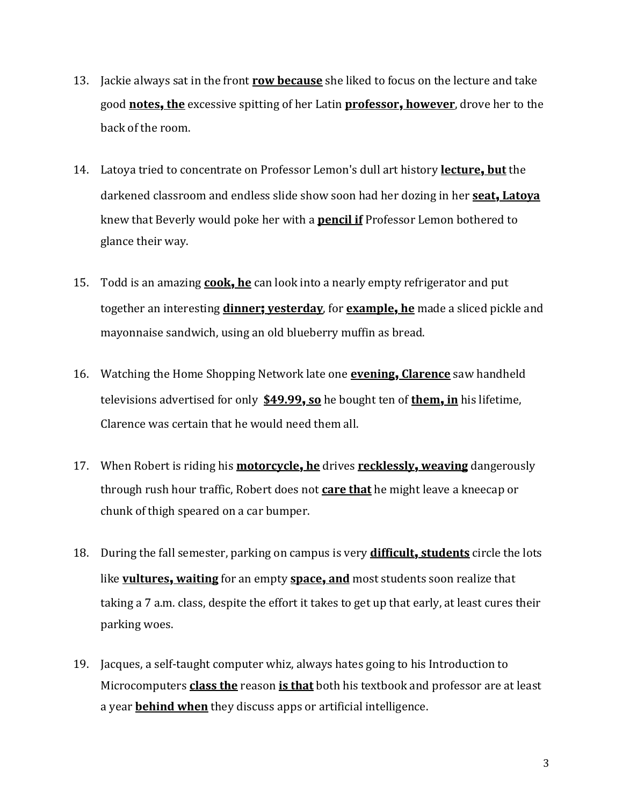- 13. Jackie always sat in the front **row because** she liked to focus on the lecture and take good **notes**, **the** excessive spitting of her Latin **professor**, **however**, drove her to the back of the room.
- 14. Latoya tried to concentrate on Professor Lemon's dull art history **lecture**, **but** the darkened classroom and endless slide show soon had her dozing in her **seat**, **Latoya** knew that Beverly would poke her with a **pencil if** Professor Lemon bothered to glance their way.
- 15. Todd is an amazing **cook**, **he** can look into a nearly empty refrigerator and put together an interesting **dinner**; **yesterday**, for **example**, **he** made a sliced pickle and mayonnaise sandwich, using an old blueberry muffin as bread.
- 16. Watching the Home Shopping Network late one **evening**, **Clarence** saw handheld televisions advertised for only **\$49.99**, **so** he bought ten of **them**, **in** his lifetime, Clarence was certain that he would need them all.
- 17. When Robert is riding his **motorcycle**, **he** drives **recklessly**, **weaving** dangerously through rush hour traffic, Robert does not **care that** he might leave a kneecap or chunk of thigh speared on a car bumper.
- 18. During the fall semester, parking on campus is very **difficult**, **students** circle the lots like **vultures**, **waiting** for an empty **space**, **and** most students soon realize that taking a 7 a.m. class, despite the effort it takes to get up that early, at least cures their parking woes.
- 19. Jacques, a self-taught computer whiz, always hates going to his Introduction to Microcomputers **class the** reason **is that** both his textbook and professor are at least a year **behind when** they discuss apps or artificial intelligence.